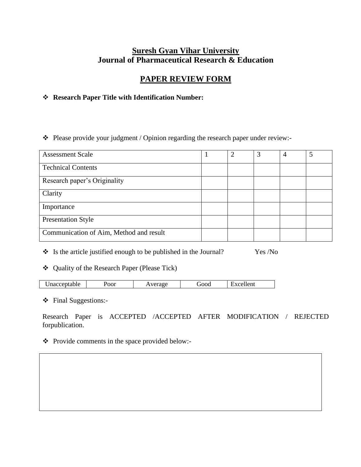# **Suresh Gyan Vihar University Journal of Pharmaceutical Research & Education**

# **PAPER REVIEW FORM**

# **Research Paper Title with Identification Number:**

\* Please provide your judgment / Opinion regarding the research paper under review:-

| <b>Assessment Scale</b>                 | 2 | 3 | 4 |  |
|-----------------------------------------|---|---|---|--|
| <b>Technical Contents</b>               |   |   |   |  |
| Research paper's Originality            |   |   |   |  |
| Clarity                                 |   |   |   |  |
| Importance                              |   |   |   |  |
| <b>Presentation Style</b>               |   |   |   |  |
| Communication of Aim, Method and result |   |   |   |  |

 $\div$  Is the article justified enough to be published in the Journal? Yes /No

# Quality of the Research Paper (Please Tick)

| - -<br>ptable.<br>.<br>macce<br>. . | Poor | ma ar | ⊤n∩ | ellent<br>$\cdot$ $\sim$ |  |
|-------------------------------------|------|-------|-----|--------------------------|--|
|                                     |      |       |     | __                       |  |

Final Suggestions:-

Research Paper is ACCEPTED /ACCEPTED AFTER MODIFICATION / REJECTED forpublication.

#### \* Provide comments in the space provided below:-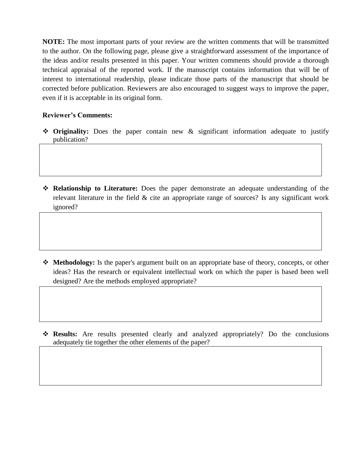**NOTE:** The most important parts of your review are the written comments that will be transmitted to the author. On the following page, please give a straightforward assessment of the importance of the ideas and/or results presented in this paper. Your written comments should provide a thorough technical appraisal of the reported work. If the manuscript contains information that will be of interest to international readership, please indicate those parts of the manuscript that should be corrected before publication. Reviewers are also encouraged to suggest ways to improve the paper, even if it is acceptable in its original form.

## **Reviewer's Comments:**

- **Originality:** Does the paper contain new & significant information adequate to justify publication?
- **Relationship to Literature:** Does the paper demonstrate an adequate understanding of the relevant literature in the field & cite an appropriate range of sources? Is any significant work ignored?

- **Methodology:** Is the paper's argument built on an appropriate base of theory, concepts, or other ideas? Has the research or equivalent intellectual work on which the paper is based been well designed? Are the methods employed appropriate?
- **Results:** Are results presented clearly and analyzed appropriately? Do the conclusions adequately tie together the other elements of the paper?